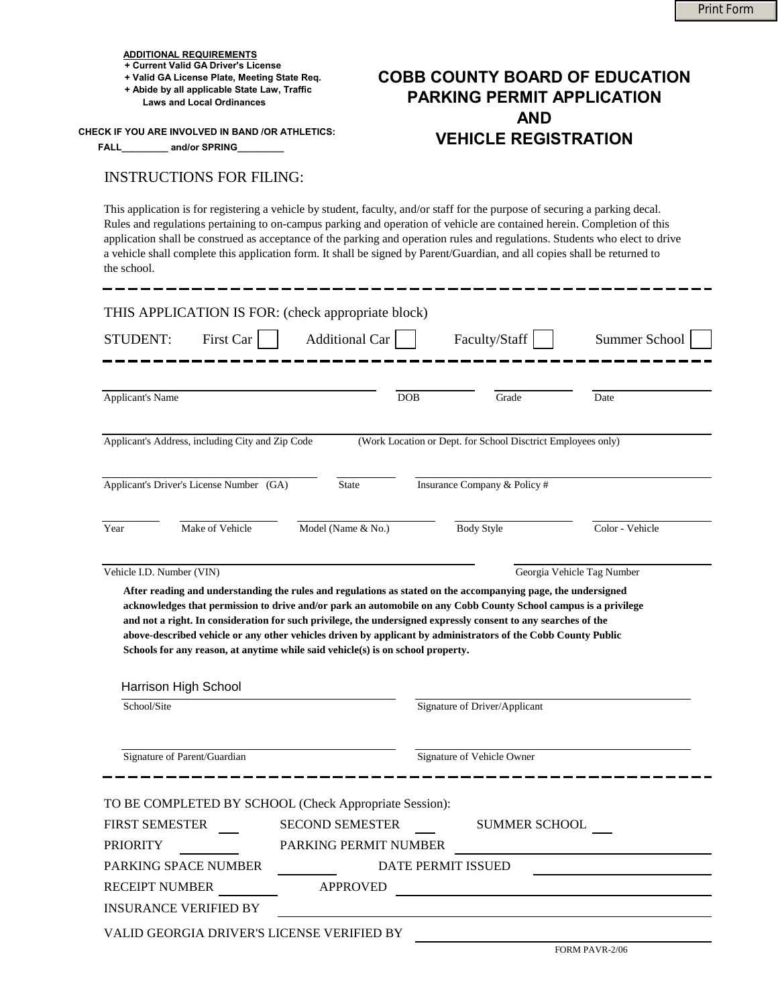## **ADDITIONAL REQUIREMENTS**

- **+ Current Valid GA Driver's License**
- **+ Valid GA License Plate, Meeting State Req.**

 **CHECK IF YOU ARE INVOLVED IN BAND /OR ATHLETICS:**

## INSTRUCTIONS FOR FILING:

## **PARKING PERMIT APPLICATION AND VEHICLE REGISTRATION**

|                                                                                                                                                                                                                                                                                                                                                                                                                                                                                                                                                                                     |                                                 |                                                                                                                         | <b>Print Form</b>          |  |
|-------------------------------------------------------------------------------------------------------------------------------------------------------------------------------------------------------------------------------------------------------------------------------------------------------------------------------------------------------------------------------------------------------------------------------------------------------------------------------------------------------------------------------------------------------------------------------------|-------------------------------------------------|-------------------------------------------------------------------------------------------------------------------------|----------------------------|--|
| <u>ADDITIONAL REQUIREMENTS</u><br>+ Current Valid GA Driver's License<br>+ Valid GA License Plate, Meeting State Req.<br>+ Abide by all applicable State Law, Traffic<br><b>Laws and Local Ordinances</b><br>CK IF YOU ARE INVOLVED IN BAND /OR ATHLETICS:<br>and/or SPRING________<br><b>FALL</b>                                                                                                                                                                                                                                                                                  |                                                 | <b>COBB COUNTY BOARD OF EDUCATION</b><br><b>PARKING PERMIT APPLICATION</b><br><b>AND</b><br><b>VEHICLE REGISTRATION</b> |                            |  |
| <b>INSTRUCTIONS FOR FILING:</b>                                                                                                                                                                                                                                                                                                                                                                                                                                                                                                                                                     |                                                 |                                                                                                                         |                            |  |
| This application is for registering a vehicle by student, faculty, and/or staff for the purpose of securing a parking decal.<br>Rules and regulations pertaining to on-campus parking and operation of vehicle are contained herein. Completion of this<br>application shall be construed as acceptance of the parking and operation rules and regulations. Students who elect to drive<br>a vehicle shall complete this application form. It shall be signed by Parent/Guardian, and all copies shall be returned to<br>the school.                                                |                                                 |                                                                                                                         |                            |  |
| THIS APPLICATION IS FOR: (check appropriate block)                                                                                                                                                                                                                                                                                                                                                                                                                                                                                                                                  |                                                 |                                                                                                                         |                            |  |
| First Car<br><b>STUDENT:</b>                                                                                                                                                                                                                                                                                                                                                                                                                                                                                                                                                        | <b>Additional Car</b>                           | Faculty/Staff                                                                                                           | Summer School              |  |
| <b>Applicant's Name</b>                                                                                                                                                                                                                                                                                                                                                                                                                                                                                                                                                             | <b>DOB</b>                                      | Grade                                                                                                                   | Date                       |  |
| Applicant's Address, including City and Zip Code                                                                                                                                                                                                                                                                                                                                                                                                                                                                                                                                    |                                                 | (Work Location or Dept. for School Disctrict Employees only)                                                            |                            |  |
| Applicant's Driver's License Number (GA)                                                                                                                                                                                                                                                                                                                                                                                                                                                                                                                                            | State                                           | Insurance Company & Policy #                                                                                            |                            |  |
| Make of Vehicle<br>Year                                                                                                                                                                                                                                                                                                                                                                                                                                                                                                                                                             | Model (Name & No.)                              | <b>Body Style</b>                                                                                                       | Color - Vehicle            |  |
| Vehicle I.D. Number (VIN)<br>After reading and understanding the rules and regulations as stated on the accompanying page, the undersigned<br>acknowledges that permission to drive and/or park an automobile on any Cobb County School campus is a privilege<br>and not a right. In consideration for such privilege, the undersigned expressly consent to any searches of the<br>above-described vehicle or any other vehicles driven by applicant by administrators of the Cobb County Public<br>Schools for any reason, at anytime while said vehicle(s) is on school property. |                                                 |                                                                                                                         | Georgia Vehicle Tag Number |  |
| Harrison High School<br>School/Site                                                                                                                                                                                                                                                                                                                                                                                                                                                                                                                                                 |                                                 | Signature of Driver/Applicant                                                                                           |                            |  |
|                                                                                                                                                                                                                                                                                                                                                                                                                                                                                                                                                                                     |                                                 |                                                                                                                         |                            |  |
| Signature of Parent/Guardian                                                                                                                                                                                                                                                                                                                                                                                                                                                                                                                                                        |                                                 | Signature of Vehicle Owner                                                                                              |                            |  |
| TO BE COMPLETED BY SCHOOL (Check Appropriate Session):<br><b>FIRST SEMESTER</b><br><b>PRIORITY</b>                                                                                                                                                                                                                                                                                                                                                                                                                                                                                  | <b>SECOND SEMESTER</b><br>PARKING PERMIT NUMBER | <b>SUMMER SCHOOL</b>                                                                                                    |                            |  |
| PARKING SPACE NUMBER<br><b>RECEIPT NUMBER</b>                                                                                                                                                                                                                                                                                                                                                                                                                                                                                                                                       | <b>APPROVED</b>                                 | DATE PERMIT ISSUED                                                                                                      |                            |  |

INSURANCE VERIFIED BY

VALID GEORGIA DRIVER'S LICENSE VERIFIED BY